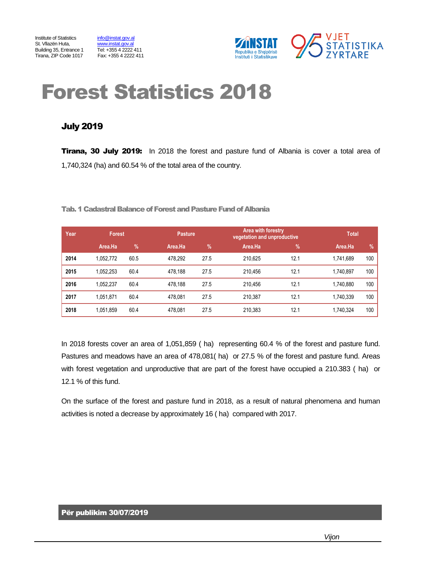Building 35, Entrance 1 Tel: +355 4 2222 411<br>Tirana, ZIP Code 1017 Fax: +355 4 2222 411



# Forest Statistics 2018

### July 2019

**Tirana, 30 July 2019:** In 2018 the forest and pasture fund of Albania is cover a total area of 1,740,324 (ha) and 60.54 % of the total area of the country.

Tab. 1 Cadastral Balance of Forest and Pasture Fund of Albania

| Year. | <b>Forest</b> |      |         | <b>Pasture</b> |         | Area with forestry<br>vegetation and unproductive | <b>Total</b> |     |
|-------|---------------|------|---------|----------------|---------|---------------------------------------------------|--------------|-----|
|       | Area.Ha       | $\%$ | Area.Ha | $\frac{9}{6}$  | Area.Ha | $\%$                                              | Area.Ha      | %   |
| 2014  | 1.052.772     | 60.5 | 478.292 | 27.5           | 210.625 | 12.1                                              | 1.741.689    | 100 |
| 2015  | 1.052.253     | 60.4 | 478.188 | 27.5           | 210.456 | 12.1                                              | 1.740.897    | 100 |
| 2016  | 1.052.237     | 60.4 | 478.188 | 27.5           | 210.456 | 12.1                                              | 1.740.880    | 100 |
| 2017  | 1.051.871     | 60.4 | 478.081 | 27.5           | 210.387 | 12.1                                              | 1.740.339    | 100 |
| 2018  | 1,051,859     | 60.4 | 478,081 | 27.5           | 210.383 | 12.1                                              | 1,740,324    | 100 |

In 2018 forests cover an area of 1,051,859 ( ha) representing 60.4 % of the forest and pasture fund. Pastures and meadows have an area of 478,081( ha) or 27.5 % of the forest and pasture fund. Areas with forest vegetation and unproductive that are part of the forest have occupied a 210.383 ( ha) or 12.1 % of this fund.

On the surface of the forest and pasture fund in 2018, as a result of natural phenomena and human activities is noted a decrease by approximately 16 ( ha) compared with 2017.

#### Për publikim 30/07/2019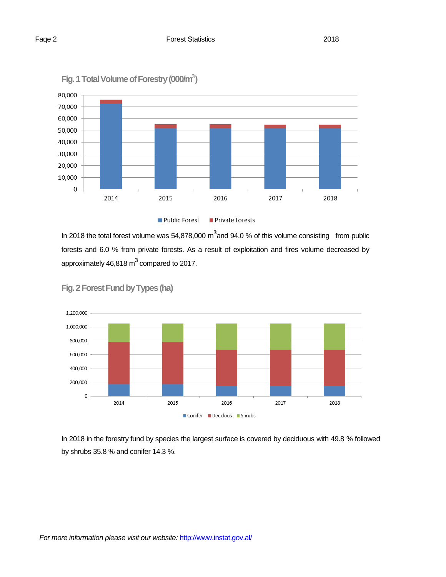



In 2018 the total forest volume was 54,878,000 m<sup>3</sup> and 94.0 % of this volume consisting from public forests and 6.0 % from private forests. As a result of exploitation and fires volume decreased by approximately 46,818 m **3** compared to 2017.



**Fig. 2Forest Fund by Types (ha)**

In 2018 in the forestry fund by species the largest surface is covered by deciduous with 49.8 % followed by shrubs 35.8 % and conifer 14.3 %.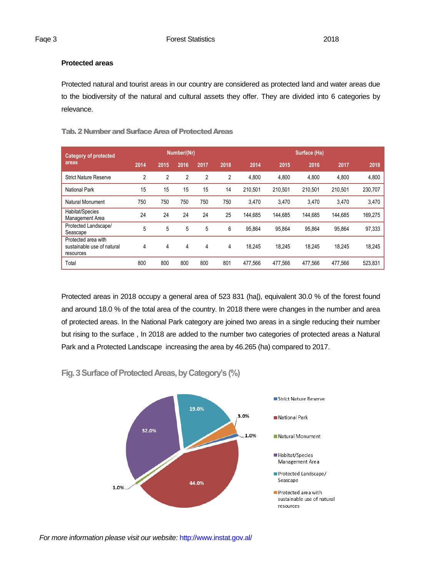#### **Protected areas**

Protected natural and tourist areas in our country are considered as protected land and water areas due to the biodiversity of the natural and cultural assets they offer. They are divided into 6 categories by relevance.

| <b>Category of protected</b>                                   | Number/(Nr)    |                |      |                | Surface (Ha) |         |         |         |         |         |
|----------------------------------------------------------------|----------------|----------------|------|----------------|--------------|---------|---------|---------|---------|---------|
| areas                                                          | 2014           | 2015           | 2016 | 2017           | 2018         | 2014    | 2015    | 2016    | 2017    | 2018    |
| <b>Strict Nature Reserve</b>                                   | $\overline{2}$ | $\overline{2}$ | 2    | $\overline{2}$ | 2            | 4,800   | 4,800   | 4,800   | 4,800   | 4,800   |
| <b>National Park</b>                                           | 15             | 15             | 15   | 15             | 14           | 210.501 | 210.501 | 210.501 | 210.501 | 230,707 |
| Natural Monument                                               | 750            | 750            | 750  | 750            | 750          | 3,470   | 3,470   | 3,470   | 3,470   | 3,470   |
| Habitat/Species<br>Management Area                             | 24             | 24             | 24   | 24             | 25           | 144.685 | 144.685 | 144.685 | 144.685 | 169.275 |
| Protected Landscape/<br>Seascape                               | 5              | 5              | 5    | 5              | 6            | 95.864  | 95.864  | 95.864  | 95.864  | 97,333  |
| Protected area with<br>sustainable use of natural<br>resources | 4              | 4              | 4    | 4              | 4            | 18.245  | 18.245  | 18.245  | 18.245  | 18.245  |
| Total                                                          | 800            | 800            | 800  | 800            | 801          | 477.566 | 477.566 | 477.566 | 477.566 | 523,831 |

#### Tab. 2 Number and Surface Area of Protected Areas

Protected areas in 2018 occupy a general area of 523 831 (ha|), equivalent 30.0 % of the forest found and around 18.0 % of the total area of the country. In 2018 there were changes in the number and area of protected areas. In the National Park category are joined two areas in a single reducing their number but rising to the surface , In 2018 are added to the number two categories of protected areas a Natural Park and a Protected Landscape increasing the area by 46.265 (ha) compared to 2017.

**Fig. 3Surface of Protected Areas, by Category's (%)**

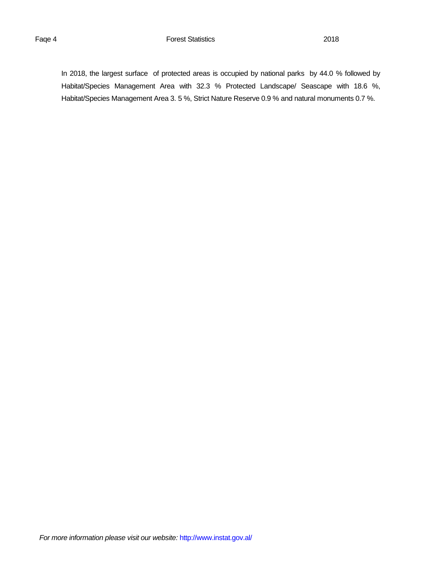#### Faqe 4 **Forest Statistics Forest Statistics** 2018

In 2018, the largest surface of protected areas is occupied by national parks by 44.0 % followed by Habitat/Species Management Area with 32.3 % Protected Landscape/ Seascape with 18.6 %, Habitat/Species Management Area 3. 5 %, Strict Nature Reserve 0.9 % and natural monuments 0.7 %.